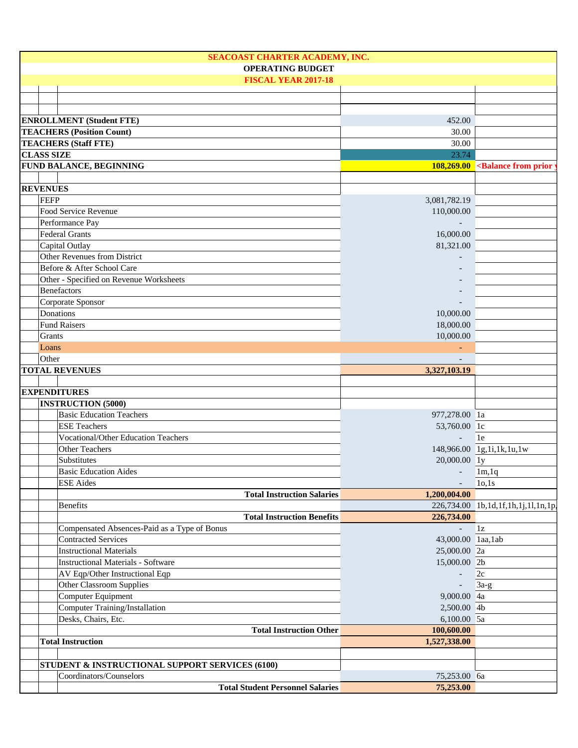| SEACOAST CHARTER ACADEMY, INC.<br><b>OPERATING BUDGET</b> |                            |                                                        |
|-----------------------------------------------------------|----------------------------|--------------------------------------------------------|
| <b>FISCAL YEAR 2017-18</b>                                |                            |                                                        |
|                                                           |                            |                                                        |
|                                                           |                            |                                                        |
|                                                           |                            |                                                        |
| <b>ENROLLMENT (Student FTE)</b>                           | 452.00                     |                                                        |
| <b>TEACHERS (Position Count)</b>                          | 30.00                      |                                                        |
| <b>TEACHERS (Staff FTE)</b>                               | 30.00                      |                                                        |
| <b>CLASS SIZE</b>                                         | 23.74                      |                                                        |
| <b>FUND BALANCE, BEGINNING</b>                            |                            | 108,269.00 <balance from="" prior<="" td=""></balance> |
| <b>REVENUES</b>                                           |                            |                                                        |
| FEFP                                                      |                            |                                                        |
| Food Service Revenue                                      | 3,081,782.19<br>110,000.00 |                                                        |
| Performance Pay                                           |                            |                                                        |
| <b>Federal Grants</b>                                     | 16,000.00                  |                                                        |
| Capital Outlay                                            | 81,321.00                  |                                                        |
| Other Revenues from District                              |                            |                                                        |
| Before & After School Care                                |                            |                                                        |
| Other - Specified on Revenue Worksheets                   |                            |                                                        |
| <b>Benefactors</b>                                        |                            |                                                        |
| Corporate Sponsor                                         |                            |                                                        |
| Donations                                                 | 10,000.00                  |                                                        |
| <b>Fund Raisers</b>                                       | 18,000.00                  |                                                        |
| Grants                                                    | 10,000.00                  |                                                        |
| Loans                                                     |                            |                                                        |
| Other                                                     |                            |                                                        |
| <b>TOTAL REVENUES</b>                                     | 3,327,103.19               |                                                        |
|                                                           |                            |                                                        |
| <b>EXPENDITURES</b>                                       |                            |                                                        |
| <b>INSTRUCTION (5000)</b>                                 |                            |                                                        |
| <b>Basic Education Teachers</b>                           | 977,278.00 1a              |                                                        |
| <b>ESE Teachers</b>                                       | 53,760.00 lc               |                                                        |
| <b>Vocational/Other Education Teachers</b>                | $\overline{a}$             | 1e                                                     |
| <b>Other Teachers</b>                                     |                            | 148,966.00 1g,1i,1k,1u,1w                              |
| Substitutes                                               | 20,000.00 ly               |                                                        |
| <b>Basic Education Aides</b>                              |                            | $-1m, 1q$                                              |
| <b>ESE</b> Aides                                          | $\overline{\phantom{a}}$   | 10,1s                                                  |
| <b>Total Instruction Salaries</b>                         | 1,200,004.00               |                                                        |
| <b>Benefits</b>                                           |                            | 226,734.00 1b,1d,1f,1h,1j,1l,1n,1p,                    |
| <b>Total Instruction Benefits</b>                         | 226,734.00                 |                                                        |
| Compensated Absences-Paid as a Type of Bonus              |                            | $1\rm{z}$                                              |
| <b>Contracted Services</b>                                | 43,000.00 laa, lab         |                                                        |
| <b>Instructional Materials</b>                            | 25,000.00 2a               |                                                        |
| <b>Instructional Materials - Software</b>                 | 15,000.00 2b               |                                                        |
| AV Eqp/Other Instructional Eqp                            |                            | 2c                                                     |
| Other Classroom Supplies                                  |                            | $3a-g$                                                 |
| Computer Equipment                                        | 9,000.00 4a                |                                                        |
| Computer Training/Installation                            | 2,500.00 4b                |                                                        |
| Desks, Chairs, Etc.                                       | 6,100.00 5a                |                                                        |
| <b>Total Instruction Other</b>                            | 100,600.00                 |                                                        |
| <b>Total Instruction</b>                                  | 1,527,338.00               |                                                        |
|                                                           |                            |                                                        |
| STUDENT & INSTRUCTIONAL SUPPORT SERVICES (6100)           |                            |                                                        |
| Coordinators/Counselors                                   | 75,253.00 6a               |                                                        |
| <b>Total Student Personnel Salaries</b>                   | 75,253.00                  |                                                        |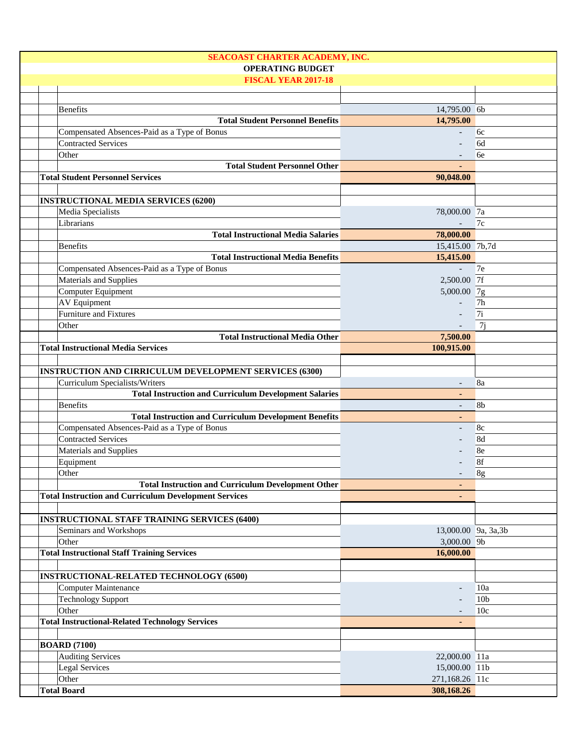| <b>SEACOAST CHARTER ACADEMY, INC.</b>                         |                          |                 |
|---------------------------------------------------------------|--------------------------|-----------------|
| <b>OPERATING BUDGET</b>                                       |                          |                 |
| <b>FISCAL YEAR 2017-18</b>                                    |                          |                 |
|                                                               |                          |                 |
| <b>Benefits</b>                                               | 14,795.00 6b             |                 |
| <b>Total Student Personnel Benefits</b>                       | 14,795.00                |                 |
| Compensated Absences-Paid as a Type of Bonus                  |                          | 6c              |
| <b>Contracted Services</b>                                    |                          | 6d              |
|                                                               |                          |                 |
| Other                                                         |                          | 6e              |
| <b>Total Student Personnel Other</b>                          |                          |                 |
| <b>Total Student Personnel Services</b>                       | 90,048.00                |                 |
|                                                               |                          |                 |
| <b>INSTRUCTIONAL MEDIA SERVICES (6200)</b>                    |                          |                 |
| Media Specialists                                             | 78,000.00 7a             |                 |
| Librarians                                                    |                          | 7c              |
| <b>Total Instructional Media Salaries</b>                     | 78,000.00                |                 |
| <b>Benefits</b>                                               | 15,415.00 7b,7d          |                 |
| <b>Total Instructional Media Benefits</b>                     | 15,415.00                |                 |
| Compensated Absences-Paid as a Type of Bonus                  |                          | 7e              |
| Materials and Supplies                                        | 2,500.00 7f              |                 |
| Computer Equipment                                            | 5,000.00 7g              |                 |
| <b>AV</b> Equipment                                           |                          | 7h              |
| Furniture and Fixtures                                        |                          | 7i              |
| Other                                                         |                          |                 |
|                                                               |                          | 7j              |
| <b>Total Instructional Media Other</b>                        | 7,500.00                 |                 |
| <b>Total Instructional Media Services</b>                     | 100,915.00               |                 |
|                                                               |                          |                 |
| <b>INSTRUCTION AND CIRRICULUM DEVELOPMENT SERVICES (6300)</b> |                          |                 |
| Curriculum Specialists/Writers                                |                          | 8a              |
| <b>Total Instruction and Curriculum Development Salaries</b>  |                          |                 |
| <b>Benefits</b>                                               | $\overline{\phantom{a}}$ | 8 <sub>b</sub>  |
| <b>Total Instruction and Curriculum Development Benefits</b>  | $\blacksquare$           |                 |
| Compensated Absences-Paid as a Type of Bonus                  |                          | 8c              |
| <b>Contracted Services</b>                                    |                          | 8d              |
| Materials and Supplies                                        |                          | 8e              |
| Equipment                                                     |                          | 8f              |
| Other                                                         |                          |                 |
|                                                               |                          | 8g              |
| <b>Total Instruction and Curriculum Development Other</b>     |                          |                 |
| <b>Total Instruction and Curriculum Development Services</b>  |                          |                 |
|                                                               |                          |                 |
| <b>INSTRUCTIONAL STAFF TRAINING SERVICES (6400)</b>           |                          |                 |
| Seminars and Workshops                                        | 13,000.00 9a, 3a, 3b     |                 |
| Other                                                         | 3,000.00 9b              |                 |
| <b>Total Instructional Staff Training Services</b>            | 16,000.00                |                 |
|                                                               |                          |                 |
| <b>INSTRUCTIONAL-RELATED TECHNOLOGY (6500)</b>                |                          |                 |
| <b>Computer Maintenance</b>                                   | $\overline{\phantom{a}}$ | 10a             |
| <b>Technology Support</b>                                     |                          | 10 <sub>b</sub> |
| Other                                                         |                          | 10 <sub>c</sub> |
| <b>Total Instructional-Related Technology Services</b>        |                          |                 |
|                                                               |                          |                 |
|                                                               |                          |                 |
| <b>BOARD (7100)</b>                                           |                          |                 |
| <b>Auditing Services</b>                                      | 22,000.00 11a            |                 |
| Legal Services                                                | 15,000.00 11b            |                 |
| Other                                                         | 271,168.26 11c           |                 |
| <b>Total Board</b>                                            | 308,168.26               |                 |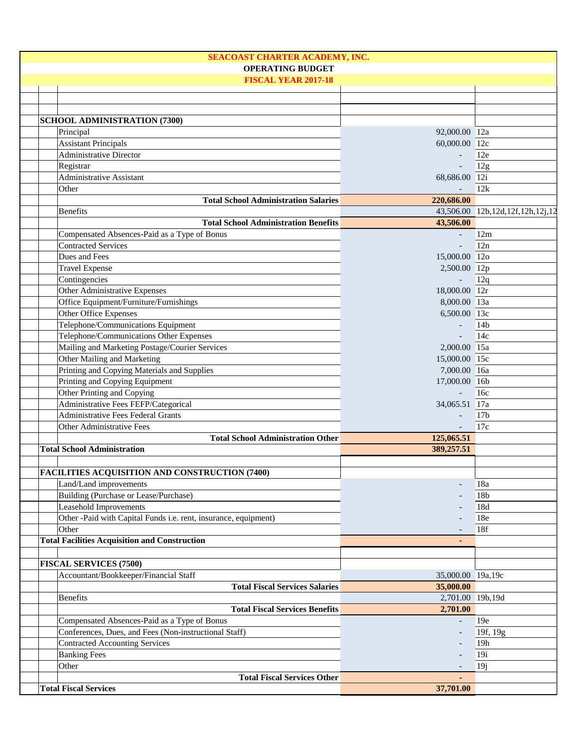| SEACOAST CHARTER ACADEMY, INC.                                  |                          |                                  |
|-----------------------------------------------------------------|--------------------------|----------------------------------|
| <b>OPERATING BUDGET</b>                                         |                          |                                  |
| <b>FISCAL YEAR 2017-18</b>                                      |                          |                                  |
|                                                                 |                          |                                  |
|                                                                 |                          |                                  |
|                                                                 |                          |                                  |
| <b>SCHOOL ADMINISTRATION (7300)</b>                             |                          |                                  |
| Principal                                                       | 92,000.00 12a            |                                  |
| <b>Assistant Principals</b>                                     | 60,000.00 12c            |                                  |
| <b>Administrative Director</b>                                  | $\overline{\phantom{a}}$ | 12e                              |
| Registrar                                                       |                          | 12g                              |
| Administrative Assistant                                        | 68,686.00 12i            |                                  |
| Other                                                           |                          | 12k                              |
| <b>Total School Administration Salaries</b>                     | 220,686.00               |                                  |
| <b>Benefits</b>                                                 |                          | 43,506.00 12b,12d,12f,12h,12j,12 |
| <b>Total School Administration Benefits</b>                     | 43,506.00                |                                  |
| Compensated Absences-Paid as a Type of Bonus                    | $\overline{\phantom{a}}$ | 12m                              |
| <b>Contracted Services</b>                                      | $\overline{\phantom{a}}$ | 12n                              |
| Dues and Fees                                                   | 15,000.00 12o            |                                  |
| <b>Travel Expense</b>                                           | 2,500.00 12p             |                                  |
| Contingencies                                                   | $\mathbb{L}^+$           | 12q                              |
| Other Administrative Expenses                                   | 18,000.00 12r            |                                  |
| Office Equipment/Furniture/Furnishings                          | 8,000.00 13a             |                                  |
| Other Office Expenses                                           | 6,500.00 13c             |                                  |
| Telephone/Communications Equipment                              |                          | 14 <sub>b</sub>                  |
| Telephone/Communications Other Expenses                         | $\Box$                   | 14c                              |
| Mailing and Marketing Postage/Courier Services                  | 2,000.00 15a             |                                  |
| Other Mailing and Marketing                                     | 15,000.00 15c            |                                  |
| Printing and Copying Materials and Supplies                     | 7,000.00 16a             |                                  |
| Printing and Copying Equipment                                  | 17,000.00 16b            |                                  |
| Other Printing and Copying                                      |                          | 16c                              |
| Administrative Fees FEFP/Categorical                            | 34,065.51 17a            |                                  |
| <b>Administrative Fees Federal Grants</b>                       |                          | 17 <sub>b</sub>                  |
| Other Administrative Fees                                       |                          | 17c                              |
| <b>Total School Administration Other</b>                        | 125,065.51               |                                  |
| <b>Total School Administration</b>                              | 389,257.51               |                                  |
|                                                                 |                          |                                  |
| FACILITIES ACQUISITION AND CONSTRUCTION (7400)                  |                          |                                  |
|                                                                 |                          |                                  |
| Land/Land improvements                                          |                          | 18a                              |
| Building (Purchase or Lease/Purchase)                           |                          | 18b                              |
|                                                                 |                          |                                  |
| Leasehold Improvements                                          |                          | 18d                              |
| Other -Paid with Capital Funds i.e. rent, insurance, equipment) |                          | 18e                              |
| Other                                                           |                          | 18f                              |
| <b>Total Facilities Acquisition and Construction</b>            |                          |                                  |
|                                                                 |                          |                                  |
| <b>FISCAL SERVICES (7500)</b>                                   |                          |                                  |
| Accountant/Bookkeeper/Financial Staff                           | 35,000.00 19a,19c        |                                  |
| <b>Total Fiscal Services Salaries</b>                           | 35,000.00                |                                  |
| <b>Benefits</b>                                                 | 2,701.00 19b,19d         |                                  |
| <b>Total Fiscal Services Benefits</b>                           | 2,701.00                 |                                  |
| Compensated Absences-Paid as a Type of Bonus                    |                          | 19e                              |
| Conferences, Dues, and Fees (Non-instructional Staff)           |                          | 19f, 19g                         |
| <b>Contracted Accounting Services</b>                           |                          | 19h                              |
| <b>Banking Fees</b>                                             |                          | 19i                              |
| Other                                                           |                          | 19j                              |
| <b>Total Fiscal Services Other</b>                              |                          |                                  |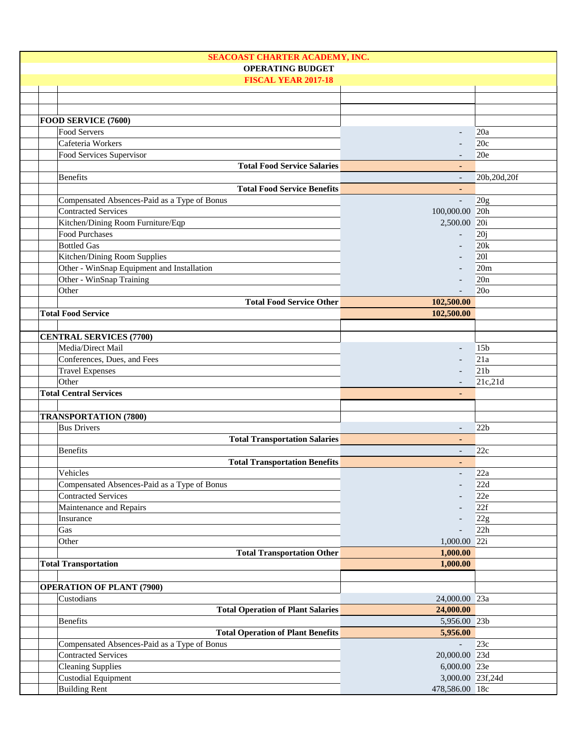| <b>SEACOAST CHARTER ACADEMY, INC.</b>        |                          |                 |
|----------------------------------------------|--------------------------|-----------------|
| <b>OPERATING BUDGET</b>                      |                          |                 |
| <b>FISCAL YEAR 2017-18</b>                   |                          |                 |
|                                              |                          |                 |
|                                              |                          |                 |
|                                              |                          |                 |
| FOOD SERVICE (7600)                          |                          |                 |
| Food Servers                                 |                          | 20a             |
| Cafeteria Workers                            |                          | 20c             |
| Food Services Supervisor                     |                          | 20e             |
| <b>Total Food Service Salaries</b>           |                          |                 |
| <b>Benefits</b>                              |                          | 20b,20d,20f     |
| <b>Total Food Service Benefits</b>           |                          |                 |
| Compensated Absences-Paid as a Type of Bonus | $\overline{a}$           | 20g             |
| <b>Contracted Services</b>                   | 100,000.00 20h           |                 |
| Kitchen/Dining Room Furniture/Eqp            | 2,500.00 20i             |                 |
| Food Purchases                               |                          | 20j             |
| <b>Bottled Gas</b>                           |                          | 20k             |
| Kitchen/Dining Room Supplies                 |                          | 201             |
| Other - WinSnap Equipment and Installation   |                          | 20m             |
| Other - WinSnap Training                     |                          | 20n             |
| Other                                        |                          | 20 <sub>o</sub> |
| <b>Total Food Service Other</b>              | 102,500.00               |                 |
|                                              | 102,500.00               |                 |
| <b>Total Food Service</b>                    |                          |                 |
|                                              |                          |                 |
| <b>CENTRAL SERVICES (7700)</b>               |                          |                 |
| Media/Direct Mail                            |                          | 15 <sub>b</sub> |
| Conferences, Dues, and Fees                  |                          | 21a             |
| <b>Travel Expenses</b>                       |                          | 21 <sub>b</sub> |
| Other                                        |                          | 21c,21d         |
| <b>Total Central Services</b>                |                          |                 |
|                                              |                          |                 |
| <b>TRANSPORTATION (7800)</b>                 |                          |                 |
| <b>Bus Drivers</b>                           | $\overline{\phantom{0}}$ | 22b             |
| <b>Total Transportation Salaries</b>         |                          |                 |
| <b>Benefits</b>                              | $\overline{\phantom{a}}$ | 22c             |
| <b>Total Transportation Benefits</b>         | $\blacksquare$           |                 |
| Vehicles                                     |                          | 22a             |
| Compensated Absences-Paid as a Type of Bonus |                          | 22d             |
| <b>Contracted Services</b>                   |                          | 22e             |
| Maintenance and Repairs                      |                          | 22f             |
| Insurance                                    |                          | 22g             |
|                                              |                          | 22h             |
| Gas                                          |                          |                 |
| Other                                        | 1,000.00 22i             |                 |
| <b>Total Transportation Other</b>            | 1,000.00                 |                 |
| <b>Total Transportation</b>                  | 1,000.00                 |                 |
|                                              |                          |                 |
| <b>OPERATION OF PLANT (7900)</b>             |                          |                 |
| Custodians                                   | 24,000.00 23a            |                 |
| <b>Total Operation of Plant Salaries</b>     | 24,000.00                |                 |
| <b>Benefits</b>                              | 5,956.00 23b             |                 |
| <b>Total Operation of Plant Benefits</b>     | 5,956.00                 |                 |
| Compensated Absences-Paid as a Type of Bonus |                          | 23c             |
| <b>Contracted Services</b>                   | 20,000.00 23d            |                 |
| <b>Cleaning Supplies</b>                     | 6,000.00 23e             |                 |
| <b>Custodial Equipment</b>                   | 3,000.00 23f,24d         |                 |
| <b>Building Rent</b>                         | 478,586.00 18c           |                 |
|                                              |                          |                 |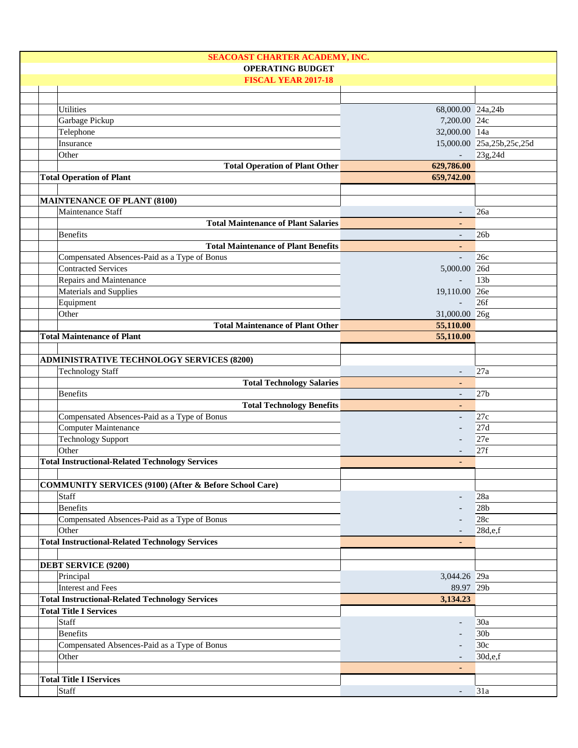| SEACOAST CHARTER ACADEMY, INC.                                    |                          |                           |
|-------------------------------------------------------------------|--------------------------|---------------------------|
| <b>OPERATING BUDGET</b>                                           |                          |                           |
| <b>FISCAL YEAR 2017-18</b>                                        |                          |                           |
|                                                                   |                          |                           |
| <b>Utilities</b>                                                  | 68,000.00 24a,24b        |                           |
|                                                                   |                          |                           |
| Garbage Pickup                                                    | 7,200.00 24c             |                           |
| Telephone                                                         | 32,000.00 14a            |                           |
| Insurance                                                         |                          | 15,000.00 25a,25b,25c,25d |
| Other                                                             | $\blacksquare$           | 23g, 24d                  |
| <b>Total Operation of Plant Other</b>                             | 629,786.00               |                           |
| <b>Total Operation of Plant</b>                                   | 659,742.00               |                           |
|                                                                   |                          |                           |
| <b>MAINTENANCE OF PLANT (8100)</b>                                |                          |                           |
| Maintenance Staff                                                 |                          | 26a                       |
| <b>Total Maintenance of Plant Salaries</b>                        |                          |                           |
| <b>Benefits</b>                                                   |                          | 26 <sub>b</sub>           |
| <b>Total Maintenance of Plant Benefits</b>                        |                          |                           |
|                                                                   | $\overline{a}$           |                           |
| Compensated Absences-Paid as a Type of Bonus                      |                          | 26c                       |
| <b>Contracted Services</b>                                        | 5,000.00 26d             |                           |
| Repairs and Maintenance                                           |                          | 13 <sub>b</sub>           |
| Materials and Supplies                                            | 19,110.00 26e            |                           |
| Equipment                                                         |                          | 26f                       |
| Other                                                             | 31,000.00 26g            |                           |
| <b>Total Maintenance of Plant Other</b>                           | 55,110.00                |                           |
| <b>Total Maintenance of Plant</b>                                 | 55,110.00                |                           |
|                                                                   |                          |                           |
| <b>ADMINISTRATIVE TECHNOLOGY SERVICES (8200)</b>                  |                          |                           |
| <b>Technology Staff</b>                                           |                          | 27a                       |
| <b>Total Technology Salaries</b>                                  |                          |                           |
|                                                                   |                          |                           |
| <b>Benefits</b>                                                   | $\blacksquare$           | 27 <sub>b</sub>           |
| <b>Total Technology Benefits</b>                                  | $\sim$                   |                           |
| Compensated Absences-Paid as a Type of Bonus                      | $\overline{\phantom{a}}$ | 27c                       |
| Computer Maintenance                                              |                          | 27d                       |
| <b>Technology Support</b>                                         |                          | 27e                       |
| Other                                                             |                          | 27f                       |
| <b>Total Instructional-Related Technology Services</b>            | $\blacksquare$           |                           |
|                                                                   |                          |                           |
| <b>COMMUNITY SERVICES (9100) (After &amp; Before School Care)</b> |                          |                           |
| Staff                                                             |                          | 28a                       |
| <b>Benefits</b>                                                   |                          | 28 <sub>b</sub>           |
| Compensated Absences-Paid as a Type of Bonus                      |                          | 28c                       |
| Other                                                             |                          | 28d,e,f                   |
| <b>Total Instructional-Related Technology Services</b>            |                          |                           |
|                                                                   |                          |                           |
|                                                                   |                          |                           |
| <b>DEBT SERVICE (9200)</b>                                        |                          |                           |
| Principal                                                         | 3,044.26 29a             |                           |
| <b>Interest and Fees</b>                                          | 89.97 29b                |                           |
| <b>Total Instructional-Related Technology Services</b>            | 3,134.23                 |                           |
| <b>Total Title I Services</b>                                     |                          |                           |
| Staff                                                             |                          | 30a                       |
| <b>Benefits</b>                                                   |                          | 30 <sub>b</sub>           |
| Compensated Absences-Paid as a Type of Bonus                      |                          | 30 <sub>c</sub>           |
| Other                                                             |                          | 30d,e,f                   |
|                                                                   |                          |                           |
| <b>Total Title I IServices</b>                                    |                          |                           |
|                                                                   |                          |                           |
| Staff                                                             |                          | 31a                       |